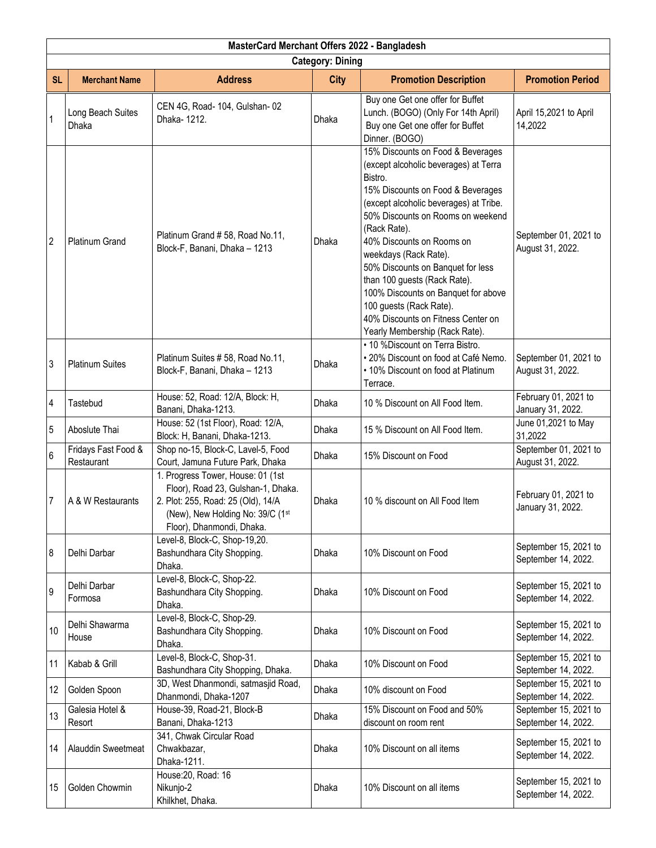|                         | MasterCard Merchant Offers 2022 - Bangladesh |                                                                                                                                                                                |              |                                                                                                                                                                                                                                                                                                                                                                                                                                                                                                |                                              |  |  |
|-------------------------|----------------------------------------------|--------------------------------------------------------------------------------------------------------------------------------------------------------------------------------|--------------|------------------------------------------------------------------------------------------------------------------------------------------------------------------------------------------------------------------------------------------------------------------------------------------------------------------------------------------------------------------------------------------------------------------------------------------------------------------------------------------------|----------------------------------------------|--|--|
| <b>Category: Dining</b> |                                              |                                                                                                                                                                                |              |                                                                                                                                                                                                                                                                                                                                                                                                                                                                                                |                                              |  |  |
| <b>SL</b>               | <b>Merchant Name</b>                         | <b>Address</b>                                                                                                                                                                 | <b>City</b>  | <b>Promotion Description</b>                                                                                                                                                                                                                                                                                                                                                                                                                                                                   | <b>Promotion Period</b>                      |  |  |
| $\mathbf 1$             | Long Beach Suites<br>Dhaka                   | CEN 4G, Road- 104, Gulshan- 02<br>Dhaka-1212.                                                                                                                                  | Dhaka        | Buy one Get one offer for Buffet<br>Lunch. (BOGO) (Only For 14th April)<br>Buy one Get one offer for Buffet<br>Dinner. (BOGO)                                                                                                                                                                                                                                                                                                                                                                  | April 15,2021 to April<br>14,2022            |  |  |
| $\overline{2}$          | Platinum Grand                               | Platinum Grand #58, Road No.11,<br>Block-F, Banani, Dhaka - 1213                                                                                                               | Dhaka        | 15% Discounts on Food & Beverages<br>(except alcoholic beverages) at Terra<br>Bistro.<br>15% Discounts on Food & Beverages<br>(except alcoholic beverages) at Tribe.<br>50% Discounts on Rooms on weekend<br>(Rack Rate).<br>40% Discounts on Rooms on<br>weekdays (Rack Rate).<br>50% Discounts on Banquet for less<br>than 100 guests (Rack Rate).<br>100% Discounts on Banquet for above<br>100 guests (Rack Rate).<br>40% Discounts on Fitness Center on<br>Yearly Membership (Rack Rate). | September 01, 2021 to<br>August 31, 2022.    |  |  |
| 3                       | <b>Platinum Suites</b>                       | Platinum Suites #58, Road No.11,<br>Block-F, Banani, Dhaka - 1213                                                                                                              | Dhaka        | • 10 %Discount on Terra Bistro.<br>· 20% Discount on food at Café Nemo.<br>. 10% Discount on food at Platinum<br>Terrace.                                                                                                                                                                                                                                                                                                                                                                      | September 01, 2021 to<br>August 31, 2022.    |  |  |
| 4                       | Tastebud                                     | House: 52, Road: 12/A, Block: H,<br>Banani, Dhaka-1213.                                                                                                                        | Dhaka        | 10 % Discount on All Food Item.                                                                                                                                                                                                                                                                                                                                                                                                                                                                | February 01, 2021 to<br>January 31, 2022.    |  |  |
| 5                       | Aboslute Thai                                | House: 52 (1st Floor), Road: 12/A,<br>Block: H, Banani, Dhaka-1213.                                                                                                            | <b>Dhaka</b> | 15 % Discount on All Food Item.                                                                                                                                                                                                                                                                                                                                                                                                                                                                | June 01,2021 to May<br>31,2022               |  |  |
| 6                       | Fridays Fast Food &<br>Restaurant            | Shop no-15, Block-C, Lavel-5, Food<br>Court, Jamuna Future Park, Dhaka                                                                                                         | Dhaka        | 15% Discount on Food                                                                                                                                                                                                                                                                                                                                                                                                                                                                           | September 01, 2021 to<br>August 31, 2022.    |  |  |
| 7                       | A & W Restaurants                            | 1. Progress Tower, House: 01 (1st<br>Floor), Road 23, Gulshan-1, Dhaka.<br>2. Plot: 255, Road: 25 (Old), 14/A<br>(New), New Holding No: 39/C (1st<br>Floor), Dhanmondi, Dhaka. | Dhaka        | 10 % discount on All Food Item                                                                                                                                                                                                                                                                                                                                                                                                                                                                 | February 01, 2021 to<br>January 31, 2022.    |  |  |
| 8                       | Delhi Darbar                                 | Level-8, Block-C, Shop-19,20.<br>Bashundhara City Shopping.<br>Dhaka.                                                                                                          | Dhaka        | 10% Discount on Food                                                                                                                                                                                                                                                                                                                                                                                                                                                                           | September 15, 2021 to<br>September 14, 2022. |  |  |
| 9                       | Delhi Darbar<br>Formosa                      | Level-8, Block-C, Shop-22.<br>Bashundhara City Shopping.<br>Dhaka.                                                                                                             | Dhaka        | 10% Discount on Food                                                                                                                                                                                                                                                                                                                                                                                                                                                                           | September 15, 2021 to<br>September 14, 2022. |  |  |
| 10                      | Delhi Shawarma<br>House                      | Level-8, Block-C, Shop-29.<br>Bashundhara City Shopping.<br>Dhaka.                                                                                                             | Dhaka        | 10% Discount on Food                                                                                                                                                                                                                                                                                                                                                                                                                                                                           | September 15, 2021 to<br>September 14, 2022. |  |  |
| 11                      | Kabab & Grill                                | Level-8, Block-C, Shop-31.<br>Bashundhara City Shopping, Dhaka.                                                                                                                | Dhaka        | 10% Discount on Food                                                                                                                                                                                                                                                                                                                                                                                                                                                                           | September 15, 2021 to<br>September 14, 2022. |  |  |
| 12                      | Golden Spoon                                 | 3D, West Dhanmondi, satmasjid Road,<br>Dhanmondi, Dhaka-1207                                                                                                                   | Dhaka        | 10% discount on Food                                                                                                                                                                                                                                                                                                                                                                                                                                                                           | September 15, 2021 to<br>September 14, 2022. |  |  |
| 13                      | Galesia Hotel &<br>Resort                    | House-39, Road-21, Block-B<br>Banani, Dhaka-1213                                                                                                                               | Dhaka        | 15% Discount on Food and 50%<br>discount on room rent                                                                                                                                                                                                                                                                                                                                                                                                                                          | September 15, 2021 to<br>September 14, 2022. |  |  |
| 14                      | <b>Alauddin Sweetmeat</b>                    | 341, Chwak Circular Road<br>Chwakbazar,<br>Dhaka-1211.                                                                                                                         | Dhaka        | 10% Discount on all items                                                                                                                                                                                                                                                                                                                                                                                                                                                                      | September 15, 2021 to<br>September 14, 2022. |  |  |
| 15                      | Golden Chowmin                               | House: 20, Road: 16<br>Nikunjo-2<br>Khilkhet, Dhaka.                                                                                                                           | Dhaka        | 10% Discount on all items                                                                                                                                                                                                                                                                                                                                                                                                                                                                      | September 15, 2021 to<br>September 14, 2022. |  |  |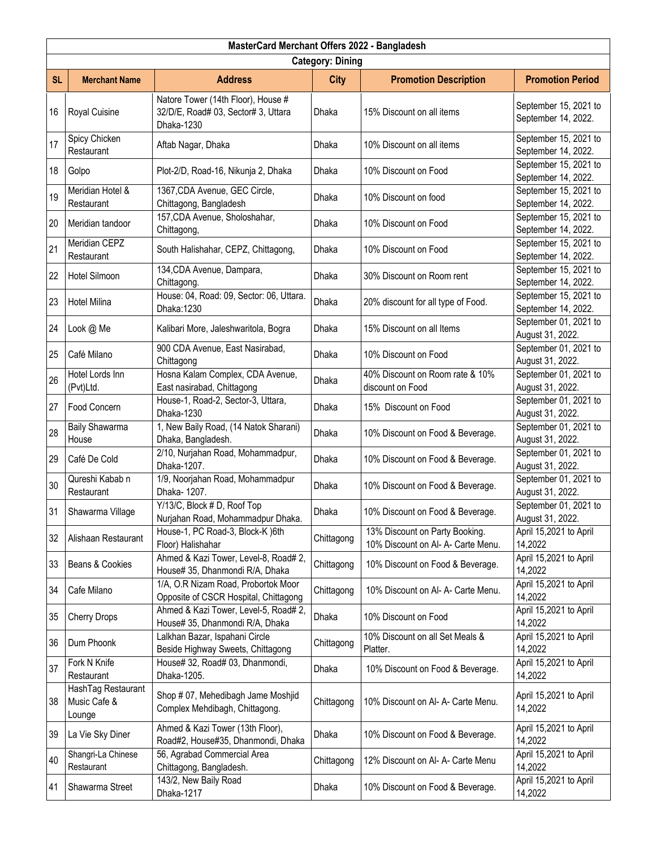|                         | MasterCard Merchant Offers 2022 - Bangladesh |                                                                                         |              |                                                                      |                                              |  |  |
|-------------------------|----------------------------------------------|-----------------------------------------------------------------------------------------|--------------|----------------------------------------------------------------------|----------------------------------------------|--|--|
| <b>Category: Dining</b> |                                              |                                                                                         |              |                                                                      |                                              |  |  |
| <b>SL</b>               | <b>Merchant Name</b>                         | <b>Address</b>                                                                          | <b>City</b>  | <b>Promotion Description</b>                                         | <b>Promotion Period</b>                      |  |  |
| 16                      | Royal Cuisine                                | Natore Tower (14th Floor), House #<br>32/D/E, Road# 03, Sector# 3, Uttara<br>Dhaka-1230 | Dhaka        | 15% Discount on all items                                            | September 15, 2021 to<br>September 14, 2022. |  |  |
| 17                      | Spicy Chicken<br>Restaurant                  | Aftab Nagar, Dhaka                                                                      | Dhaka        | 10% Discount on all items                                            | September 15, 2021 to<br>September 14, 2022. |  |  |
| 18                      | Golpo                                        | Plot-2/D, Road-16, Nikunja 2, Dhaka                                                     | <b>Dhaka</b> | 10% Discount on Food                                                 | September 15, 2021 to<br>September 14, 2022. |  |  |
| 19                      | Meridian Hotel &<br>Restaurant               | 1367, CDA Avenue, GEC Circle,<br>Chittagong, Bangladesh                                 | Dhaka        | 10% Discount on food                                                 | September 15, 2021 to<br>September 14, 2022. |  |  |
| 20                      | Meridian tandoor                             | 157, CDA Avenue, Sholoshahar,<br>Chittagong,                                            | Dhaka        | 10% Discount on Food                                                 | September 15, 2021 to<br>September 14, 2022. |  |  |
| 21                      | Meridian CEPZ<br>Restaurant                  | South Halishahar, CEPZ, Chittagong,                                                     | Dhaka        | 10% Discount on Food                                                 | September 15, 2021 to<br>September 14, 2022. |  |  |
| 22                      | <b>Hotel Silmoon</b>                         | 134, CDA Avenue, Dampara,<br>Chittagong.                                                | Dhaka        | 30% Discount on Room rent                                            | September 15, 2021 to<br>September 14, 2022. |  |  |
| 23                      | <b>Hotel Milina</b>                          | House: 04, Road: 09, Sector: 06, Uttara.<br>Dhaka: 1230                                 | Dhaka        | 20% discount for all type of Food.                                   | September 15, 2021 to<br>September 14, 2022. |  |  |
| 24                      | Look @ Me                                    | Kalibari More, Jaleshwaritola, Bogra                                                    | Dhaka        | 15% Discount on all Items                                            | September 01, 2021 to<br>August 31, 2022.    |  |  |
| 25                      | Café Milano                                  | 900 CDA Avenue, East Nasirabad,<br>Chittagong                                           | Dhaka        | 10% Discount on Food                                                 | September 01, 2021 to<br>August 31, 2022.    |  |  |
| 26                      | Hotel Lords Inn<br>(Pvt)Ltd.                 | Hosna Kalam Complex, CDA Avenue,<br>East nasirabad, Chittagong                          | Dhaka        | 40% Discount on Room rate & 10%<br>discount on Food                  | September 01, 2021 to<br>August 31, 2022.    |  |  |
| 27                      | Food Concern                                 | House-1, Road-2, Sector-3, Uttara,<br>Dhaka-1230                                        | Dhaka        | 15% Discount on Food                                                 | September 01, 2021 to<br>August 31, 2022.    |  |  |
| 28                      | <b>Baily Shawarma</b><br>House               | 1, New Baily Road, (14 Natok Sharani)<br>Dhaka, Bangladesh.                             | Dhaka        | 10% Discount on Food & Beverage.                                     | September 01, 2021 to<br>August 31, 2022.    |  |  |
| 29                      | Café De Cold                                 | 2/10, Nurjahan Road, Mohammadpur,<br>Dhaka-1207.                                        | Dhaka        | 10% Discount on Food & Beverage.                                     | September 01, 2021 to<br>August 31, 2022.    |  |  |
| 30                      | Qureshi Kabab n<br>Restaurant                | 1/9, Noorjahan Road, Mohammadpur<br>Dhaka- 1207.                                        | Dhaka        | 10% Discount on Food & Beverage.                                     | September 01, 2021 to<br>August 31, 2022.    |  |  |
| 31                      | Shawarma Village                             | Y/13/C, Block # D, Roof Top<br>Nurjahan Road, Mohammadpur Dhaka.                        | Dhaka        | 10% Discount on Food & Beverage.                                     | September 01, 2021 to<br>August 31, 2022.    |  |  |
| 32                      | Alishaan Restaurant                          | House-1, PC Road-3, Block-K )6th<br>Floor) Halishahar                                   | Chittagong   | 13% Discount on Party Booking.<br>10% Discount on Al- A- Carte Menu. | April 15,2021 to April<br>14,2022            |  |  |
| 33                      | Beans & Cookies                              | Ahmed & Kazi Tower, Level-8, Road# 2,<br>House# 35, Dhanmondi R/A, Dhaka                | Chittagong   | 10% Discount on Food & Beverage.                                     | April 15,2021 to April<br>14,2022            |  |  |
| 34                      | Cafe Milano                                  | 1/A, O.R Nizam Road, Probortok Moor<br>Opposite of CSCR Hospital, Chittagong            | Chittagong   | 10% Discount on Al- A- Carte Menu.                                   | April 15,2021 to April<br>14,2022            |  |  |
| 35                      | <b>Cherry Drops</b>                          | Ahmed & Kazi Tower, Level-5, Road# 2,<br>House# 35, Dhanmondi R/A, Dhaka                | Dhaka        | 10% Discount on Food                                                 | April 15,2021 to April<br>14,2022            |  |  |
| 36                      | Dum Phoonk                                   | Lalkhan Bazar, Ispahani Circle<br>Beside Highway Sweets, Chittagong                     | Chittagong   | 10% Discount on all Set Meals &<br>Platter.                          | April 15,2021 to April<br>14,2022            |  |  |
| 37                      | Fork N Knife<br>Restaurant                   | House# 32, Road# 03, Dhanmondi,<br>Dhaka-1205.                                          | Dhaka        | 10% Discount on Food & Beverage.                                     | April 15,2021 to April<br>14,2022            |  |  |
| 38                      | HashTag Restaurant<br>Music Cafe &<br>Lounge | Shop # 07, Mehedibagh Jame Moshjid<br>Complex Mehdibagh, Chittagong.                    | Chittagong   | 10% Discount on Al- A- Carte Menu.                                   | April 15,2021 to April<br>14,2022            |  |  |
| 39                      | La Vie Sky Diner                             | Ahmed & Kazi Tower (13th Floor),<br>Road#2, House#35, Dhanmondi, Dhaka                  | Dhaka        | 10% Discount on Food & Beverage.                                     | April 15,2021 to April<br>14,2022            |  |  |
| 40                      | Shangri-La Chinese<br>Restaurant             | 56, Agrabad Commercial Area<br>Chittagong, Bangladesh.                                  | Chittagong   | 12% Discount on Al- A- Carte Menu                                    | April 15,2021 to April<br>14,2022            |  |  |
| 41                      | Shawarma Street                              | 143/2, New Baily Road<br>Dhaka-1217                                                     | Dhaka        | 10% Discount on Food & Beverage.                                     | April 15,2021 to April<br>14,2022            |  |  |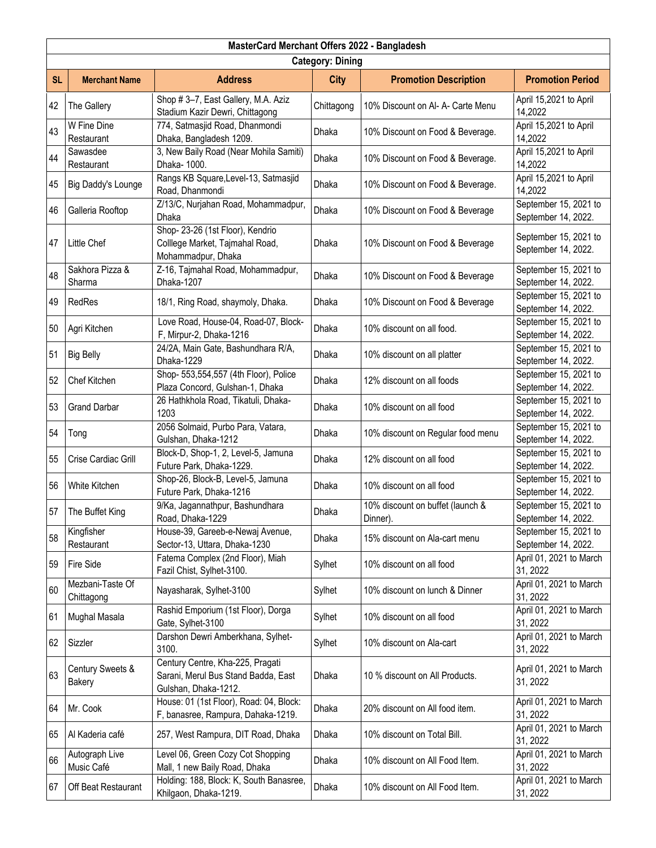|                         | MasterCard Merchant Offers 2022 - Bangladesh |                                                                                                 |             |                                              |                                              |  |  |
|-------------------------|----------------------------------------------|-------------------------------------------------------------------------------------------------|-------------|----------------------------------------------|----------------------------------------------|--|--|
| <b>Category: Dining</b> |                                              |                                                                                                 |             |                                              |                                              |  |  |
| <b>SL</b>               | <b>Merchant Name</b>                         | <b>Address</b>                                                                                  | <b>City</b> | <b>Promotion Description</b>                 | <b>Promotion Period</b>                      |  |  |
| 42                      | The Gallery                                  | Shop #3-7, East Gallery, M.A. Aziz<br>Stadium Kazir Dewri, Chittagong                           | Chittagong  | 10% Discount on Al- A- Carte Menu            | April 15,2021 to April<br>14,2022            |  |  |
| 43                      | W Fine Dine<br>Restaurant                    | 774, Satmasjid Road, Dhanmondi<br>Dhaka, Bangladesh 1209.                                       | Dhaka       | 10% Discount on Food & Beverage.             | April 15,2021 to April<br>14,2022            |  |  |
| 44                      | Sawasdee<br>Restaurant                       | 3, New Baily Road (Near Mohila Samiti)<br>Dhaka- 1000.                                          | Dhaka       | 10% Discount on Food & Beverage.             | April 15,2021 to April<br>14,2022            |  |  |
| 45                      | <b>Big Daddy's Lounge</b>                    | Rangs KB Square, Level-13, Satmasjid<br>Road, Dhanmondi                                         | Dhaka       | 10% Discount on Food & Beverage.             | April 15,2021 to April<br>14,2022            |  |  |
| 46                      | Galleria Rooftop                             | Z/13/C, Nurjahan Road, Mohammadpur,<br>Dhaka                                                    | Dhaka       | 10% Discount on Food & Beverage              | September 15, 2021 to<br>September 14, 2022. |  |  |
| 47                      | Little Chef                                  | Shop-23-26 (1st Floor), Kendrio<br>Colllege Market, Tajmahal Road,<br>Mohammadpur, Dhaka        | Dhaka       | 10% Discount on Food & Beverage              | September 15, 2021 to<br>September 14, 2022. |  |  |
| 48                      | Sakhora Pizza &<br>Sharma                    | Z-16, Tajmahal Road, Mohammadpur,<br>Dhaka-1207                                                 | Dhaka       | 10% Discount on Food & Beverage              | September 15, 2021 to<br>September 14, 2022. |  |  |
| 49                      | RedRes                                       | 18/1, Ring Road, shaymoly, Dhaka.                                                               | Dhaka       | 10% Discount on Food & Beverage              | September 15, 2021 to<br>September 14, 2022. |  |  |
| 50                      | Agri Kitchen                                 | Love Road, House-04, Road-07, Block-<br>F, Mirpur-2, Dhaka-1216                                 | Dhaka       | 10% discount on all food.                    | September 15, 2021 to<br>September 14, 2022. |  |  |
| 51                      | <b>Big Belly</b>                             | 24/2A, Main Gate, Bashundhara R/A,<br>Dhaka-1229                                                | Dhaka       | 10% discount on all platter                  | September 15, 2021 to<br>September 14, 2022. |  |  |
| 52                      | Chef Kitchen                                 | Shop- 553,554,557 (4th Floor), Police<br>Plaza Concord, Gulshan-1, Dhaka                        | Dhaka       | 12% discount on all foods                    | September 15, 2021 to<br>September 14, 2022. |  |  |
| 53                      | <b>Grand Darbar</b>                          | 26 Hathkhola Road, Tikatuli, Dhaka-<br>1203                                                     | Dhaka       | 10% discount on all food                     | September 15, 2021 to<br>September 14, 2022. |  |  |
| 54                      | Tong                                         | 2056 Solmaid, Purbo Para, Vatara,<br>Gulshan, Dhaka-1212                                        | Dhaka       | 10% discount on Regular food menu            | September 15, 2021 to<br>September 14, 2022. |  |  |
| 55                      | Crise Cardiac Grill                          | Block-D, Shop-1, 2, Level-5, Jamuna<br>Future Park, Dhaka-1229.                                 | Dhaka       | 12% discount on all food                     | September 15, 2021 to<br>September 14, 2022. |  |  |
| 56                      | White Kitchen                                | Shop-26, Block-B, Level-5, Jamuna<br>Future Park, Dhaka-1216                                    | Dhaka       | 10% discount on all food                     | September 15, 2021 to<br>September 14, 2022. |  |  |
| 57                      | The Buffet King                              | 9/Ka, Jagannathpur, Bashundhara<br>Road, Dhaka-1229                                             | Dhaka       | 10% discount on buffet (launch &<br>Dinner). | September 15, 2021 to<br>September 14, 2022. |  |  |
| 58                      | Kingfisher<br>Restaurant                     | House-39, Gareeb-e-Newaj Avenue,<br>Sector-13, Uttara, Dhaka-1230                               | Dhaka       | 15% discount on Ala-cart menu                | September 15, 2021 to<br>September 14, 2022. |  |  |
| 59                      | Fire Side                                    | Fatema Complex (2nd Floor), Miah<br>Fazil Chist, Sylhet-3100.                                   | Sylhet      | 10% discount on all food                     | April 01, 2021 to March<br>31, 2022          |  |  |
| 60                      | Mezbani-Taste Of<br>Chittagong               | Nayasharak, Sylhet-3100                                                                         | Sylhet      | 10% discount on lunch & Dinner               | April 01, 2021 to March<br>31, 2022          |  |  |
| 61                      | Mughal Masala                                | Rashid Emporium (1st Floor), Dorga<br>Gate, Sylhet-3100                                         | Sylhet      | 10% discount on all food                     | April 01, 2021 to March<br>31, 2022          |  |  |
| 62                      | Sizzler                                      | Darshon Dewri Amberkhana, Sylhet-<br>3100.                                                      | Sylhet      | 10% discount on Ala-cart                     | April 01, 2021 to March<br>31, 2022          |  |  |
| 63                      | Century Sweets &<br>Bakery                   | Century Centre, Kha-225, Pragati<br>Sarani, Merul Bus Stand Badda, East<br>Gulshan, Dhaka-1212. | Dhaka       | 10 % discount on All Products.               | April 01, 2021 to March<br>31, 2022          |  |  |
| 64                      | Mr. Cook                                     | House: 01 (1st Floor), Road: 04, Block:<br>F, banasree, Rampura, Dahaka-1219.                   | Dhaka       | 20% discount on All food item.               | April 01, 2021 to March<br>31, 2022          |  |  |
| 65                      | Al Kaderia café                              | 257, West Rampura, DIT Road, Dhaka                                                              | Dhaka       | 10% discount on Total Bill.                  | April 01, 2021 to March<br>31, 2022          |  |  |
| 66                      | Autograph Live<br>Music Café                 | Level 06, Green Cozy Cot Shopping<br>Mall, 1 new Baily Road, Dhaka                              | Dhaka       | 10% discount on All Food Item.               | April 01, 2021 to March<br>31, 2022          |  |  |
| 67                      | Off Beat Restaurant                          | Holding: 188, Block: K, South Banasree,<br>Khilgaon, Dhaka-1219.                                | Dhaka       | 10% discount on All Food Item.               | April 01, 2021 to March<br>31, 2022          |  |  |